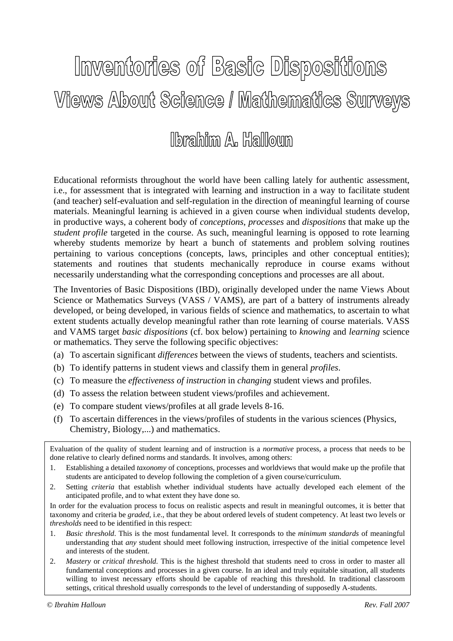# Inventories of Basic Dispositions **Views About Science / Mathematics Surveys**

## lbrahim A. Halloun

Educational reformists throughout the world have been calling lately for authentic assessment, i.e., for assessment that is integrated with learning and instruction in a way to facilitate student (and teacher) self-evaluation and self-regulation in the direction of meaningful learning of course materials. Meaningful learning is achieved in a given course when individual students develop, in productive ways, a coherent body of *conceptions*, *processes* and *dispositions* that make up the *student profile* targeted in the course. As such, meaningful learning is opposed to rote learning whereby students memorize by heart a bunch of statements and problem solving routines pertaining to various conceptions (concepts, laws, principles and other conceptual entities); statements and routines that students mechanically reproduce in course exams without necessarily understanding what the corresponding conceptions and processes are all about.

The Inventories of Basic Dispositions (IBD), originally developed under the name Views About Science or Mathematics Surveys (VASS / VAMS), are part of a battery of instruments already developed, or being developed, in various fields of science and mathematics, to ascertain to what extent students actually develop meaningful rather than rote learning of course materials. VASS and VAMS target *basic dispositions* (cf. box below) pertaining to *knowing* and *learning* science or mathematics. They serve the following specific objectives:

- (a) To ascertain significant *differences* between the views of students, teachers and scientists.
- (b) To identify patterns in student views and classify them in general *profiles*.
- (c) To measure the *effectiveness of instruction* in *changing* student views and profiles.
- (d) To assess the relation between student views/profiles and achievement.
- (e) To compare student views/profiles at all grade levels 8-16.
- (f) To ascertain differences in the views/profiles of students in the various sciences (Physics, Chemistry, Biology,...) and mathematics.

Evaluation of the quality of student learning and of instruction is a *normative* process, a process that needs to be done relative to clearly defined norms and standards. It involves, among others:

- 1. Establishing a detailed *taxonomy* of conceptions, processes and worldviews that would make up the profile that students are anticipated to develop following the completion of a given course/curriculum.
- 2. Setting *criteria* that establish whether individual students have actually developed each element of the anticipated profile, and to what extent they have done so.

In order for the evaluation process to focus on realistic aspects and result in meaningful outcomes, it is better that taxonomy and criteria be *graded*, i.e., that they be about ordered levels of student competency. At least two levels or *thresholds* need to be identified in this respect:

- 1. *Basic threshold*. This is the most fundamental level. It corresponds to the *minimum standards* of meaningful understanding that *any* student should meet following instruction, irrespective of the initial competence level and interests of the student.
- 2. *Mastery* or *critical threshold*. This is the highest threshold that students need to cross in order to master all fundamental conceptions and processes in a given course. In an ideal and truly equitable situation, all students willing to invest necessary efforts should be capable of reaching this threshold. In traditional classroom settings, critical threshold usually corresponds to the level of understanding of supposedly A-students.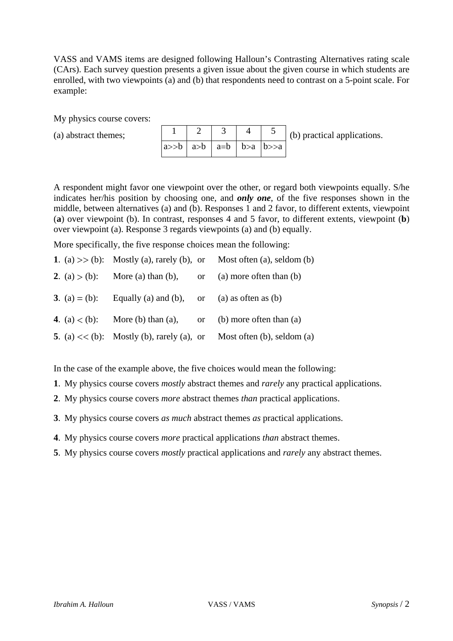VASS and VAMS items are designed following Halloun's Contrasting Alternatives rating scale (CArs). Each survey question presents a given issue about the given course in which students are enrolled, with two viewpoints (a) and (b) that respondents need to contrast on a 5-point scale. For example:

My physics course covers:

(a) abstract themes;

|                                                                                         |  | $\vert$ (b) practical applications. |  |
|-----------------------------------------------------------------------------------------|--|-------------------------------------|--|
| $a \rightarrow b$   $a \rightarrow b$   $a = b$   $b \rightarrow a$   $b \rightarrow a$ |  |                                     |  |

A respondent might favor one viewpoint over the other, or regard both viewpoints equally. S/he indicates her/his position by choosing one, and *only one*, of the five responses shown in the middle, between alternatives (a) and (b). Responses 1 and 2 favor, to different extents, viewpoint (**a**) over viewpoint (b). In contrast, responses 4 and 5 favor, to different extents, viewpoint (**b**) over viewpoint (a). Response 3 regards viewpoints (a) and (b) equally.

More specifically, the five response choices mean the following:

|  |                                                             | 1. (a) $>>$ (b): Mostly (a), rarely (b), or Most often (a), seldom (b) |
|--|-------------------------------------------------------------|------------------------------------------------------------------------|
|  |                                                             | 2. (a) $>$ (b): More (a) than (b), or (a) more often than (b)          |
|  | 3. (a) $=$ (b): Equally (a) and (b), or (a) as often as (b) |                                                                        |
|  |                                                             | 4. (a) $\lt$ (b): More (b) than (a), or (b) more often than (a)        |
|  |                                                             | 5. (a) $<<$ (b): Mostly (b), rarely (a), or Most often (b), seldom (a) |

In the case of the example above, the five choices would mean the following:

- **1**. My physics course covers *mostly* abstract themes and *rarely* any practical applications.
- **2**. My physics course covers *more* abstract themes *than* practical applications.
- **3**. My physics course covers *as much* abstract themes *as* practical applications.
- **4**. My physics course covers *more* practical applications *than* abstract themes.
- **5**. My physics course covers *mostly* practical applications and *rarely* any abstract themes.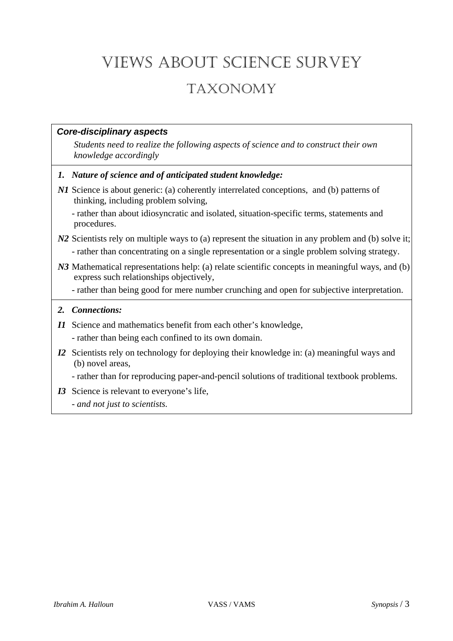## VIEWS ABOUT SCIENCE SURVEY

### TAXONOMY

#### *Core-disciplinary aspects*

*Students need to realize the following aspects of science and to construct their own knowledge accordingly* 

- *1. Nature of science and of anticipated student knowledge:*
- *N1* Science is about generic: (a) coherently interrelated conceptions, and (b) patterns of thinking, including problem solving*,*

 - rather than about idiosyncratic and isolated, situation-specific terms, statements and procedures.

#### *N2* Scientists rely on multiple ways to (a) represent the situation in any problem and (b) solve it; - rather than concentrating on a single representation or a single problem solving strategy.

- *N3* Mathematical representations help: (a) relate scientific concepts in meaningful ways, and (b) express such relationships objectively,
	- rather than being good for mere number crunching and open for subjective interpretation.

#### *2. Connections:*

- *I1* Science and mathematics benefit from each other's knowledge,
	- rather than being each confined to its own domain.
- *I2* Scientists rely on technology for deploying their knowledge in: (a) meaningful ways and (b) novel areas,

- rather than for reproducing paper-and-pencil solutions of traditional textbook problems.

- *I3* Science is relevant to everyone's life,
	- *and not just to scientists.*